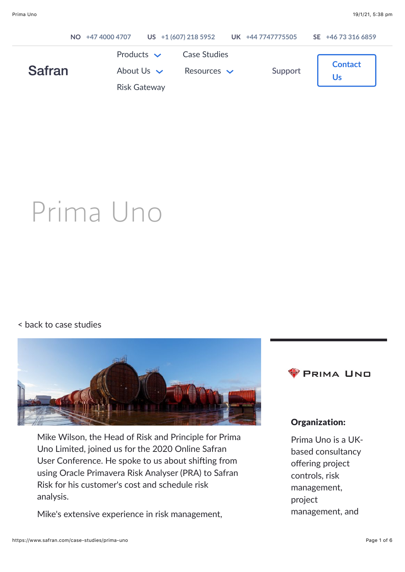|               | NO +47 4000 4707 |                                                           | US +1 (607) 218 5952                    | UK +44 7747775505 | SE +46 73 316 6859 |
|---------------|------------------|-----------------------------------------------------------|-----------------------------------------|-------------------|--------------------|
| <b>Safran</b> |                  | Products $\sim$<br>About Us $\vee$<br><b>Risk Gateway</b> | <b>Case Studies</b><br>Resources $\vee$ | Support           | <b>Contact</b>     |
|               |                  |                                                           |                                         |                   |                    |

# Prima Uno

#### [< back to case studies](https://www.safran.com/case-studies)



Mike Wilson, the Head of Risk and Principle for Prima Uno Limited, joined us for the 2020 Online Safran User Conference. He spoke to us about shifting from using Oracle Primavera Risk Analyser (PRA) to Safran Risk for his customer's cost and schedule risk analysis.

Mike's extensive experience in risk management,



#### Organization:

Prima Uno is a UKbased consultancy offering project controls, risk management, project management, and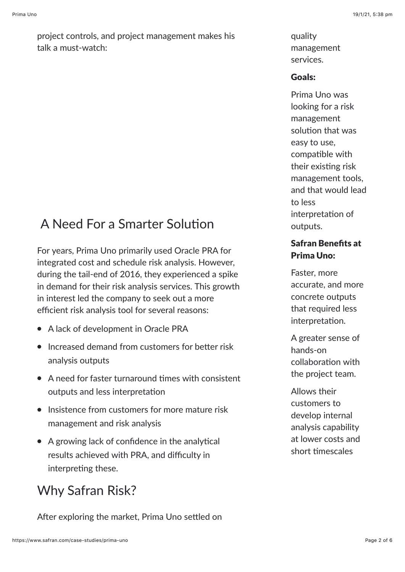project controls, and project management makes his talk a must-watch:

## A Need For a Smarter Solution

For years, Prima Uno primarily used Oracle PRA for integrated cost and schedule risk analysis. However, during the tail-end of 2016, they experienced a spike in demand for their risk analysis services. This growth in interest led the company to seek out a more efficient risk analysis tool for several reasons:

- A lack of development in Oracle PRA
- $\bullet$  Increased demand from customers for better risk analysis outputs
- $\bullet$  A need for faster turnaround times with consistent outputs and less interpretation
- $\bullet$  Insistence from customers for more mature risk management and risk analysis
- $\bullet$  A growing lack of confidence in the analytical results achieved with PRA, and difficulty in interpreting these.

## Why Safran Risk?

After exploring the market, Prima Uno settled on

quality management services.

#### Goals:

Prima Uno was looking for a risk management solution that was easy to use, compatible with their existing risk management tools, and that would lead to less interpretation of outputs.

### Safran Benefits at Prima Uno:

Faster, more accurate, and more concrete outputs that required less interpretation.

A greater sense of hands-on collaboration with the project team.

Allows their customers to develop internal analysis capability at lower costs and short timescales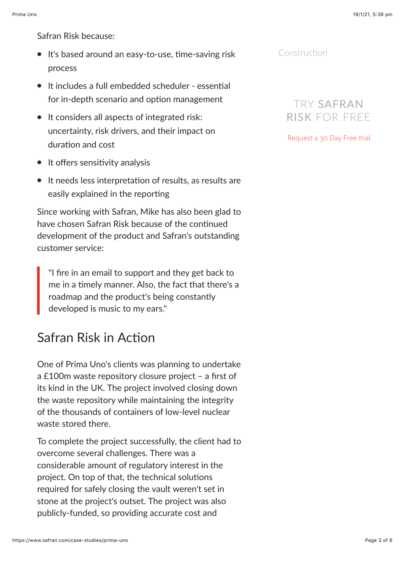Safran Risk because:

- $\bullet$  It's based around an easy-to-use, time-saving risk process
- $\bullet$  It includes a full embedded scheduler essential for in-depth scenario and option management
- It considers all aspects of integrated risk: uncertainty, risk drivers, and their impact on duration and cost
- $\bullet$  It offers sensitivity analysis
- It needs less interpretation of results, as results are easily explained in the reporting

Since working with Safran, Mike has also been glad to have chosen Safran Risk because of the continued development of the product and Safran's outstanding customer service:

"I fire in an email to support and they get back to me in a timely manner. Also, the fact that there's a roadmap and the product's being constantly developed is music to my ears."

## Safran Risk in Action

One of Prima Uno's clients was planning to undertake a £100m waste repository closure project – a first of its kind in the UK. The project involved closing down the waste repository while maintaining the integrity of the thousands of containers of low-level nuclear waste stored there.

To complete the project successfully, the client had to overcome several challenges. There was a considerable amount of regulatory interest in the project. On top of that, the technical solutions required for safely closing the vault weren't set in stone at the project's outset. The project was also publicly-funded, so providing accurate cost and

Construction

## TRY SAFRAN RISK FOR FREE

[Request a 30 Day Free trial](https://www.safran.com/risk-free-trial)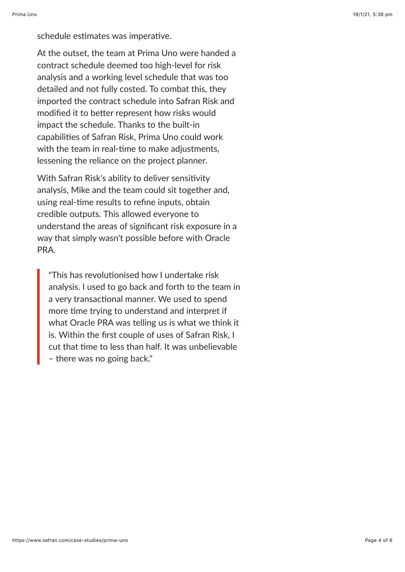schedule estimates was imperative.

At the outset, the team at Prima Uno were handed a contract schedule deemed too high-level for risk analysis and a working level schedule that was too detailed and not fully costed. To combat this, they imported the contract schedule into Safran Risk and modified it to better represent how risks would impact the schedule. Thanks to the built-in capabilities of Safran Risk, Prima Uno could work with the team in real-time to make adjustments, lessening the reliance on the project planner.

With Safran Risk's ability to deliver sensitivity analysis, Mike and the team could sit together and, using real-time results to refine inputs, obtain credible outputs. This allowed everyone to understand the areas of significant risk exposure in a way that simply wasn't possible before with Oracle PRA.

"This has revolutionised how I undertake risk analysis. I used to go back and forth to the team in a very transactional manner. We used to spend more time trying to understand and interpret if what Oracle PRA was telling us is what we think it is. Within the first couple of uses of Safran Risk, I cut that time to less than half. It was unbelievable – there was no going back."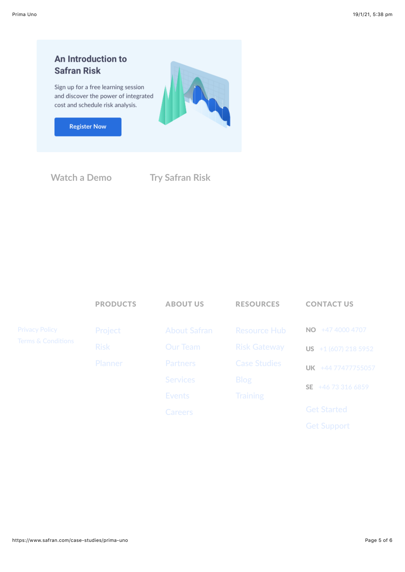

**[Watch a Demo](https://www.safran.com/cs/c/?cta_guid=58eb9f48-b85b-4336-bdbf-8f2e621197cd&signature=AAH58kHH-HkuQZRZKJRJ5StNNttukj9EjA&pageId=33710667659&placement_guid=9a9c836b-8002-4cbf-ab29-409a7d1bea7f&click=815663d4-ccd8-4268-b74e-ac63bc2a0f8b&hsutk=effce42cd198e0cc7579cd6db51956c3&canon=https://www.safran.com/case-studies/prima-uno&utm_referrer=https://www.safran.com/resources?types=Case+studies&topics=Risk&portal_id=2405298&redirect_url=APefjpGeJ06QXxIE7CqRHc2lnMAmIMlcAUUrMrKT5wfqiOjX47T8aXBPhyOzX7VU1VvbA1uLsZbj4xeAes_8fzRk6aFxO23GgUZiBYhlg72lqvGxfJ640BJNbZaZ2hyB6560Oa4DO_3HlB42-3AynTO0gmzLc9Mk1XoQPZl8CnAYsQ6YnCyjez9jFsKXS53gv18OE6MFb7eYbtUhtjS9lre99hLRpyGIXa9BTfFrXlTHdFeNN0IFealBYTNvwjMHpFBNw2Syfi6A591srtHGMaAR7e5ER5ARdQ&__hstc=177432314.effce42cd198e0cc7579cd6db51956c3.1593579823818.1610934282941.1611037792934.8&__hssc=177432314.19.1611037792934&__hsfp=2104221593&contentType=blog-post) [Try Safran Risk](https://www.safran.com/cs/c/?cta_guid=a01e0e35-39d0-4aae-bb4d-a5a05afeb2e8&signature=AAH58kGpnujXRQn54nIlfNrpB-zi7GmvKQ&pageId=33710667659&placement_guid=8c14f8e5-030b-4bb1-a04e-97ade25d4b36&click=a6e9d653-2e27-437d-825c-af96b786a369&hsutk=effce42cd198e0cc7579cd6db51956c3&canon=https://www.safran.com/case-studies/prima-uno&utm_referrer=https://www.safran.com/resources?types=Case+studies&topics=Risk&portal_id=2405298&redirect_url=APefjpGKS3CSOd5OOENLmFjUm8Vi9GpReXJq58RLsJ7EFHzsXqks5zjb1v2IHti64RnHFRsAalHFMFavehB5U-uxSq_ol4xwi4c5Dc76Y8M8LcUewAd-UwR7NYJYS21hU3YIqQGlF522waJBAwPk8iIlPMVTxYxHlSV_hCJfTJzT9unNpxCCvFG3O5qCsoCw8F4ZcS58Fc2IW4OMm38gzMZb_7EuG746aTlaCiiMpkwFSu3n-39K0Yo4UoPCb1tKk2WPP39J7u_bQ_UintxfLrRwsHAnYLovjA&__hstc=177432314.effce42cd198e0cc7579cd6db51956c3.1593579823818.1610934282941.1611037792934.8&__hssc=177432314.19.1611037792934&__hsfp=2104221593&contentType=blog-post)**

|                       | <b>PRODUCTS</b> | <b>ABOUT US</b>     | <b>RESOURCES</b>    | <b>CONTACT US</b>            |
|-----------------------|-----------------|---------------------|---------------------|------------------------------|
| <b>Privacy Policy</b> | Project         | <b>About Safran</b> | <b>Resource Hub</b> | +47 4000 4707<br>NO.         |
| Terms & Conditions    | <b>Risk</b>     | Our Team            | <b>Risk Gateway</b> | <b>US</b> $+1(607)$ 218 5952 |
|                       | Planner         | Partners            | <b>Case Studies</b> | UK +44 77477755057           |
|                       |                 | <b>Services</b>     | <b>Blog</b>         | +46 73 316 6859<br>SE.       |
|                       |                 | <b>Events</b>       | <b>Training</b>     |                              |
|                       |                 | Careers             |                     | <b>Get Started</b>           |
|                       |                 |                     |                     | <b>Get Support</b>           |